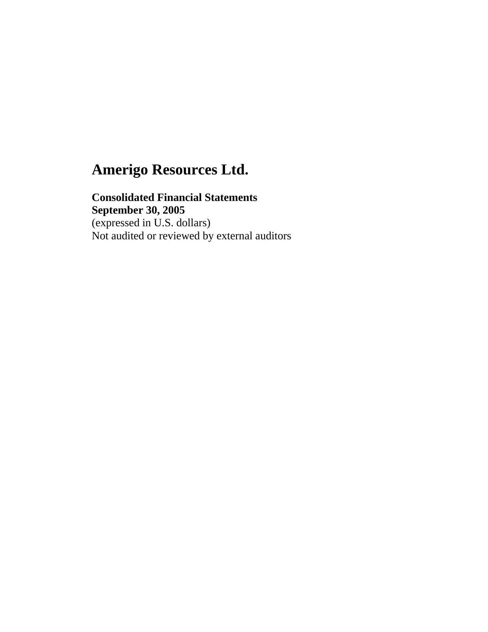**Consolidated Financial Statements September 30, 2005** (expressed in U.S. dollars) Not audited or reviewed by external auditors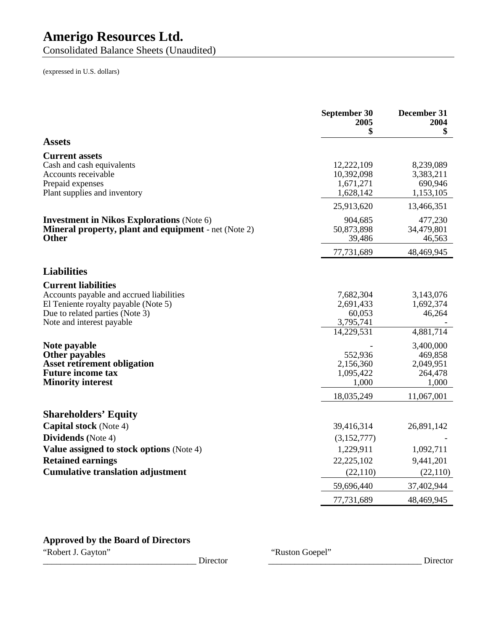Consolidated Balance Sheets (Unaudited)

(expressed in U.S. dollars)

|                                                                                                                                 | September 30<br>2005<br>\$                      | December 31<br>2004<br>\$                                 |
|---------------------------------------------------------------------------------------------------------------------------------|-------------------------------------------------|-----------------------------------------------------------|
| <b>Assets</b>                                                                                                                   |                                                 |                                                           |
| <b>Current assets</b><br>Cash and cash equivalents<br>Accounts receivable<br>Prepaid expenses                                   | 12,222,109<br>10,392,098<br>1,671,271           | 8,239,089<br>3,383,211<br>690,946                         |
| Plant supplies and inventory                                                                                                    | 1,628,142                                       | 1,153,105                                                 |
| <b>Investment in Nikos Explorations (Note 6)</b><br><b>Mineral property, plant and equipment</b> - net (Note 2)<br><b>Other</b> | 25,913,620<br>904,685<br>50,873,898<br>39,486   | 13,466,351<br>477,230<br>34,479,801<br>46,563             |
|                                                                                                                                 | 77,731,689                                      | 48,469,945                                                |
| <b>Liabilities</b>                                                                                                              |                                                 |                                                           |
| <b>Current liabilities</b><br>Accounts payable and accrued liabilities                                                          | 7,682,304                                       | 3,143,076                                                 |
| El Teniente royalty payable (Note 5)<br>Due to related parties (Note 3)<br>Note and interest payable                            | 2,691,433<br>60,053<br>3,795,741                | 1,692,374<br>46,264                                       |
| Note payable<br><b>Other payables</b><br><b>Asset retirement obligation</b><br><b>Future income tax</b>                         | 14,229,531<br>552,936<br>2,156,360<br>1,095,422 | 4,881,714<br>3,400,000<br>469,858<br>2,049,951<br>264,478 |
| <b>Minority interest</b>                                                                                                        | 1,000<br>18,035,249                             | 1,000<br>11,067,001                                       |
| <b>Shareholders' Equity</b>                                                                                                     |                                                 |                                                           |
| <b>Capital stock</b> (Note 4)<br>Dividends (Note 4)                                                                             | 39,416,314<br>(3,152,777)                       | 26,891,142                                                |
| <b>Value assigned to stock options (Note 4)</b>                                                                                 | 1,229,911                                       | 1,092,711                                                 |
| <b>Retained earnings</b>                                                                                                        | 22,225,102                                      | 9,441,201                                                 |
| <b>Cumulative translation adjustment</b>                                                                                        | (22, 110)                                       | (22,110)                                                  |
|                                                                                                                                 | 59,696,440                                      | 37,402,944                                                |
|                                                                                                                                 | 77,731,689                                      | 48,469,945                                                |

### **Approved by the Board of Directors**

"Robert J. Gayton" "Ruston Goepel" "Ruston Goepel"

\_\_\_\_\_\_\_\_\_\_\_\_\_\_\_\_\_\_\_\_\_\_\_\_\_\_\_\_\_\_\_\_\_\_\_ Director \_\_\_\_\_\_\_\_\_\_\_\_\_\_\_\_\_\_\_\_\_\_\_\_\_\_\_\_\_\_\_\_\_\_\_ Director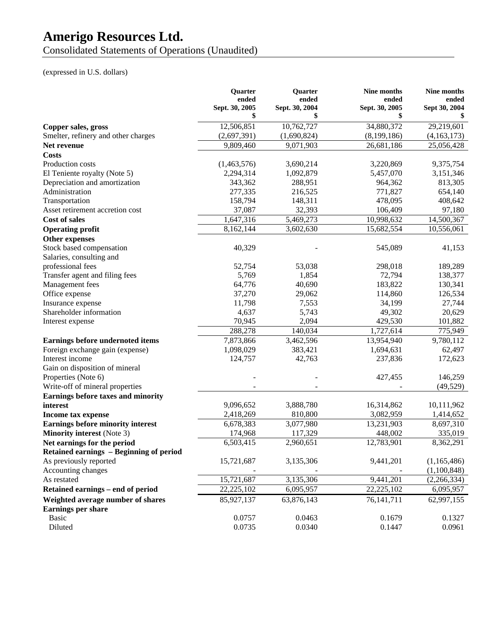Consolidated Statements of Operations (Unaudited)

### (expressed in U.S. dollars)

|                                          | <b>Ouarter</b><br>ended | Quarter<br>ended | <b>Nine months</b><br>ended | Nine months<br>ended |
|------------------------------------------|-------------------------|------------------|-----------------------------|----------------------|
|                                          | Sept. 30, 2005          | Sept. 30, 2004   | Sept. 30, 2005              | Sept 30, 2004        |
|                                          | \$                      | \$               | \$                          |                      |
| Copper sales, gross                      | 12,506,851              | 10,762,727       | 34,880,372                  | 29,219,601           |
| Smelter, refinery and other charges      | (2,697,391)             | (1,690,824)      | (8,199,186)                 | (4,163,173)          |
| Net revenue                              | 9,809,460               | 9,071,903        | 26,681,186                  | 25,056,428           |
| <b>Costs</b>                             |                         |                  |                             |                      |
| Production costs                         | (1,463,576)             | 3,690,214        | 3,220,869                   | 9,375,754            |
| El Teniente royalty (Note 5)             | 2,294,314               | 1,092,879        | 5,457,070                   | 3,151,346            |
| Depreciation and amortization            | 343,362                 | 288,951          | 964,362                     | 813,305              |
| Administration                           | 277,335                 | 216,525          | 771,827                     | 654,140              |
| Transportation                           | 158,794                 | 148,311          | 478,095                     | 408,642              |
| Asset retirement accretion cost          | 37,087                  | 32,393           | 106,409                     | 97,180               |
| <b>Cost of sales</b>                     | 1,647,316               | 5,469,273        | 10,998,632                  | 14,500,367           |
| <b>Operating profit</b>                  | 8,162,144               | 3,602,630        | 15,682,554                  | 10,556,061           |
| <b>Other expenses</b>                    |                         |                  |                             |                      |
| Stock based compensation                 | 40,329                  |                  | 545,089                     | 41,153               |
| Salaries, consulting and                 |                         |                  |                             |                      |
| professional fees                        | 52,754                  | 53,038           | 298,018                     | 189,289              |
| Transfer agent and filing fees           | 5,769                   | 1,854            | 72,794                      | 138,377              |
| Management fees                          | 64,776                  | 40,690           | 183,822                     | 130,341              |
| Office expense                           | 37,270                  | 29,062           | 114,860                     | 126,534              |
| Insurance expense                        | 11,798                  | 7,553            | 34,199                      | 27,744               |
| Shareholder information                  | 4,637                   | 5,743            | 49,302                      | 20,629               |
| Interest expense                         | 70,945                  | 2,094            | 429,530                     | 101,882              |
|                                          | 288,278                 | 140,034          | 1,727,614                   | 775,949              |
| Earnings before undernoted items         | 7,873,866               | 3,462,596        | 13,954,940                  | 9,780,112            |
| Foreign exchange gain (expense)          | 1,098,029               | 383,421          | 1,694,631                   | 62,497               |
| Interest income                          | 124,757                 | 42,763           | 237,836                     | 172,623              |
| Gain on disposition of mineral           |                         |                  |                             |                      |
| Properties (Note 6)                      |                         |                  | 427,455                     | 146,259              |
| Write-off of mineral properties          |                         |                  |                             | (49, 529)            |
| Earnings before taxes and minority       |                         |                  |                             |                      |
| interest                                 | 9,096,652               | 3,888,780        | 16,314,862                  | 10,111,962           |
| Income tax expense                       | 2,418,269               | 810,800          | 3,082,959                   | 1,414,652            |
| <b>Earnings before minority interest</b> | 6,678,383               | 3,077,980        | 13,231,903                  | 8,697,310            |
| <b>Minority interest</b> (Note 3)        | 174,968                 | 117,329          | 448,002                     | 335,019              |
| Net earnings for the period              | 6,503,415               | 2,960,651        | 12,783,901                  | 8,362,291            |
| Retained earnings - Beginning of period  |                         |                  |                             |                      |
| As previously reported                   | 15,721,687              | 3,135,306        | 9,441,201                   | (1,165,486)          |
| Accounting changes                       |                         |                  |                             | (1,100,848)          |
| As restated                              | 15,721,687              | 3,135,306        | 9,441,201                   | (2,266,334)          |
| Retained earnings - end of period        | 22,225,102              | 6,095,957        | 22,225,102                  | 6,095,957            |
| Weighted average number of shares        | 85,927,137              | 63,876,143       | 76, 141, 711                | 62,997,155           |
| <b>Earnings per share</b>                |                         |                  |                             |                      |
| Basic                                    | 0.0757                  | 0.0463           | 0.1679                      | 0.1327               |
| Diluted                                  | 0.0735                  | 0.0340           | 0.1447                      | 0.0961               |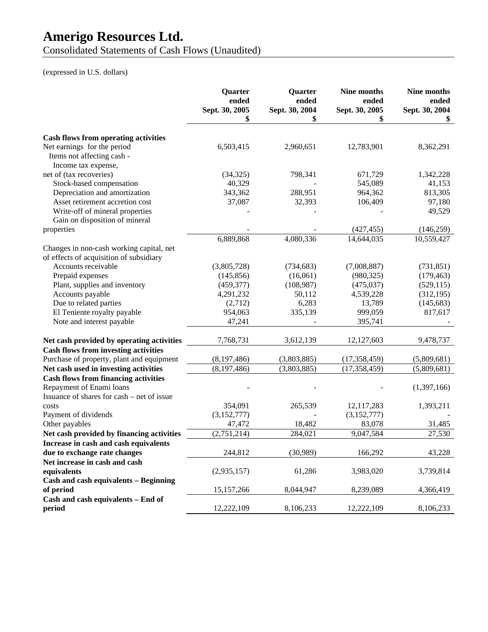Consolidated Statements of Cash Flows (Unaudited)

### (expressed in U.S. dollars)

|                                             | Quarter<br>ended<br>Sept. 30, 2005 | Quarter<br>ended<br>Sept. 30, 2004 | Nine months<br>ended<br>Sept. 30, 2005 | Nine months<br>ended<br>Sept. 30, 2004 |
|---------------------------------------------|------------------------------------|------------------------------------|----------------------------------------|----------------------------------------|
|                                             | \$                                 | \$                                 | \$                                     | \$                                     |
| <b>Cash flows from operating activities</b> |                                    |                                    |                                        |                                        |
| Net earnings for the period                 | 6,503,415                          | 2,960,651                          | 12,783,901                             | 8,362,291                              |
| Items not affecting cash -                  |                                    |                                    |                                        |                                        |
| Income tax expense,                         |                                    |                                    |                                        |                                        |
| net of (tax recoveries)                     | (34, 325)                          | 798,341                            | 671,729                                | 1,342,228                              |
| Stock-based compensation                    | 40,329                             |                                    | 545,089                                | 41,153                                 |
| Depreciation and amortization               | 343,362                            | 288,951                            | 964,362                                | 813,305                                |
| Asset retirement accretion cost             | 37,087                             | 32,393                             | 106,409                                | 97,180                                 |
| Write-off of mineral properties             |                                    |                                    |                                        | 49,529                                 |
| Gain on disposition of mineral              |                                    |                                    |                                        |                                        |
| properties                                  |                                    |                                    | (427, 455)                             | (146, 259)                             |
|                                             | 6,889,868                          | 4,080,336                          | 14,644,035                             | 10,559,427                             |
| Changes in non-cash working capital, net    |                                    |                                    |                                        |                                        |
| of effects of acquisition of subsidiary     |                                    |                                    |                                        |                                        |
| Accounts receivable                         | (3,805,728)                        | (734, 683)                         | (7,008,887)                            | (731, 851)                             |
| Prepaid expenses                            | (145, 856)                         | (16,061)                           | (980, 325)                             | (179, 463)                             |
| Plant, supplies and inventory               | (459, 377)                         | (108,987)                          | (475, 037)                             | (529, 115)                             |
| Accounts payable                            | 4,291,232                          | 50,112                             | 4,539,228                              | (312, 195)                             |
| Due to related parties                      | (2,712)                            | 6,283                              | 13,789                                 | (145, 683)                             |
| El Teniente royalty payable                 | 954,063                            | 335,139                            | 999,059                                | 817,617                                |
| Note and interest payable                   | 47,241                             |                                    | 395,741                                |                                        |
|                                             |                                    |                                    |                                        |                                        |
| Net cash provided by operating activities   | 7,768,731                          | 3,612,139                          | 12,127,603                             | 9,478,737                              |
| <b>Cash flows from investing activities</b> |                                    |                                    |                                        |                                        |
| Purchase of property, plant and equipment   | (8,197,486)                        | (3,803,885)                        | (17, 358, 459)                         | (5,809,681)                            |
| Net cash used in investing activities       | (8, 197, 486)                      | (3,803,885)                        | (17, 358, 459)                         | (5,809,681)                            |
| <b>Cash flows from financing activities</b> |                                    |                                    |                                        |                                        |
| Repayment of Enami loans                    |                                    |                                    |                                        | (1,397,166)                            |
| Issuance of shares for cash – net of issue  |                                    |                                    |                                        |                                        |
| costs                                       | 354,091                            | 265,539                            | 12,117,283                             | 1,393,211                              |
| Payment of dividends                        | (3,152,777)                        |                                    | (3,152,777)                            |                                        |
| Other payables                              | 47,472                             | 18,482                             | 83,078                                 | 31,485                                 |
| Net cash provided by financing activities   | (2,751,214)                        | 284,021                            | 9,047,584                              | 27,530                                 |
| Increase in cash and cash equivalents       |                                    |                                    |                                        |                                        |
| due to exchange rate changes                | 244,812                            | (30,989)                           | 166,292                                | 43,228                                 |
| Net increase in cash and cash               |                                    |                                    |                                        |                                        |
| equivalents                                 | (2,935,157)                        | 61,286                             | 3,983,020                              | 3,739,814                              |
| Cash and cash equivalents - Beginning       |                                    |                                    |                                        |                                        |
| of period                                   | 15,157,266                         | 8,044,947                          | 8,239,089                              | 4,366,419                              |
| Cash and cash equivalents - End of          |                                    |                                    |                                        |                                        |
| period                                      | 12,222,109                         | 8,106,233                          | 12,222,109                             | 8,106,233                              |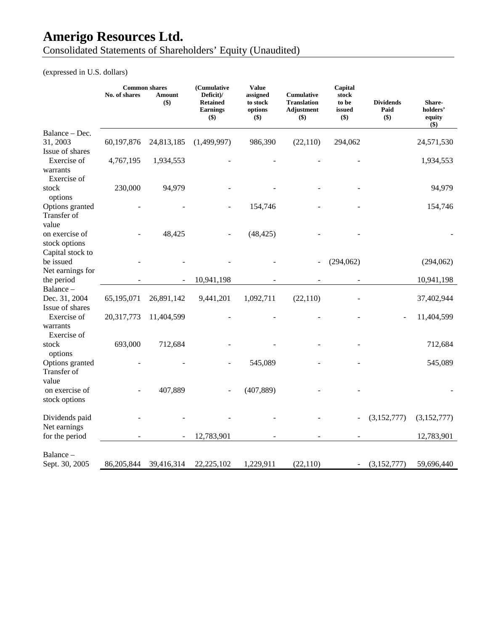Consolidated Statements of Shareholders' Equity (Unaudited)

(expressed in U.S. dollars)

|                                                     | No. of shares | <b>Common shares</b><br><b>Amount</b><br>\$) | (Cumulative<br>Deficit)/<br><b>Retained</b><br><b>Earnings</b><br>\$) | <b>Value</b><br>assigned<br>to stock<br>options<br>\$) | Cumulative<br><b>Translation</b><br>Adjustment<br>\$) | Capital<br>stock<br>to be<br>issued<br>\$) | <b>Dividends</b><br>Paid<br>\$) | Share-<br>holders'<br>equity<br>\$) |
|-----------------------------------------------------|---------------|----------------------------------------------|-----------------------------------------------------------------------|--------------------------------------------------------|-------------------------------------------------------|--------------------------------------------|---------------------------------|-------------------------------------|
| Balance – Dec.<br>31, 2003<br>Issue of shares       | 60,197,876    | 24,813,185                                   | (1,499,997)                                                           | 986,390                                                | (22, 110)                                             | 294,062                                    |                                 | 24,571,530                          |
| Exercise of<br>warrants<br>Exercise of              | 4,767,195     | 1,934,553                                    |                                                                       |                                                        |                                                       |                                            |                                 | 1,934,553                           |
| stock<br>options                                    | 230,000       | 94,979                                       |                                                                       |                                                        |                                                       |                                            |                                 | 94,979                              |
| Options granted<br>Transfer of<br>value             |               |                                              |                                                                       | 154,746                                                |                                                       |                                            |                                 | 154,746                             |
| on exercise of<br>stock options<br>Capital stock to |               | 48,425                                       |                                                                       | (48, 425)                                              |                                                       |                                            |                                 |                                     |
| be issued<br>Net earnings for                       |               |                                              |                                                                       |                                                        |                                                       | (294, 062)                                 |                                 | (294,062)                           |
| the period                                          |               |                                              | 10,941,198                                                            |                                                        |                                                       |                                            |                                 | 10,941,198                          |
| Balance-<br>Dec. 31, 2004<br>Issue of shares        | 65,195,071    | 26,891,142                                   | 9,441,201                                                             | 1,092,711                                              | (22, 110)                                             |                                            |                                 | 37,402,944                          |
| Exercise of<br>warrants<br>Exercise of              | 20,317,773    | 11,404,599                                   |                                                                       |                                                        |                                                       |                                            |                                 | 11,404,599                          |
| stock<br>options                                    | 693,000       | 712,684                                      |                                                                       |                                                        |                                                       |                                            |                                 | 712,684                             |
| Options granted<br>Transfer of<br>value             |               |                                              |                                                                       | 545,089                                                |                                                       |                                            |                                 | 545,089                             |
| on exercise of<br>stock options                     |               | 407,889                                      |                                                                       | (407, 889)                                             |                                                       |                                            |                                 |                                     |
| Dividends paid<br>Net earnings                      |               |                                              |                                                                       |                                                        |                                                       |                                            | (3,152,777)                     | (3,152,777)                         |
| for the period                                      |               | $\overline{\phantom{a}}$                     | 12,783,901                                                            |                                                        |                                                       |                                            |                                 | 12,783,901                          |
| Balance -                                           |               |                                              |                                                                       |                                                        |                                                       |                                            |                                 |                                     |
| Sept. 30, 2005                                      | 86,205,844    | 39,416,314                                   | 22,225,102                                                            | 1,229,911                                              | (22, 110)                                             | $\sim$                                     | (3,152,777)                     | 59,696,440                          |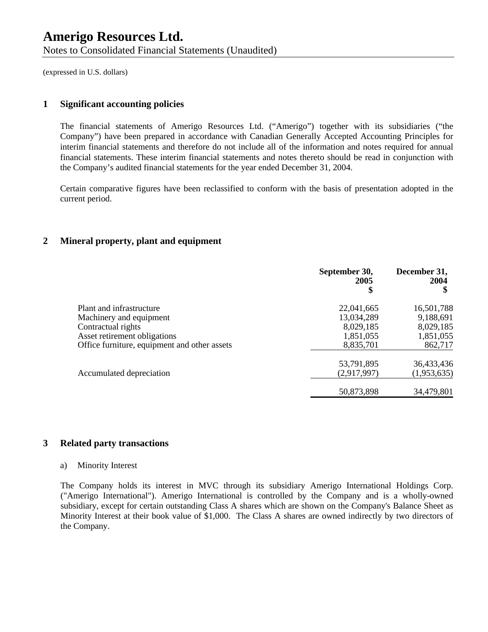(expressed in U.S. dollars)

#### **1 Significant accounting policies**

The financial statements of Amerigo Resources Ltd. ("Amerigo") together with its subsidiaries ("the Company") have been prepared in accordance with Canadian Generally Accepted Accounting Principles for interim financial statements and therefore do not include all of the information and notes required for annual financial statements. These interim financial statements and notes thereto should be read in conjunction with the Company's audited financial statements for the year ended December 31, 2004.

Certain comparative figures have been reclassified to conform with the basis of presentation adopted in the current period.

#### **2 Mineral property, plant and equipment**

|                                              | September 30,<br>2005<br>\$ | December 31,<br>2004<br>\$ |
|----------------------------------------------|-----------------------------|----------------------------|
| Plant and infrastructure                     | 22,041,665                  | 16,501,788                 |
| Machinery and equipment                      | 13,034,289                  | 9,188,691                  |
| Contractual rights                           | 8,029,185                   | 8,029,185                  |
| Asset retirement obligations                 | 1,851,055                   | 1,851,055                  |
| Office furniture, equipment and other assets | 8,835,701                   | 862,717                    |
|                                              | 53,791,895                  | 36,433,436                 |
| Accumulated depreciation                     | (2,917,997)                 | (1,953,635)                |
|                                              | 50,873,898                  | 34,479,801                 |

#### **3 Related party transactions**

#### a) Minority Interest

The Company holds its interest in MVC through its subsidiary Amerigo International Holdings Corp. ("Amerigo International"). Amerigo International is controlled by the Company and is a wholly-owned subsidiary, except for certain outstanding Class A shares which are shown on the Company's Balance Sheet as Minority Interest at their book value of \$1,000. The Class A shares are owned indirectly by two directors of the Company.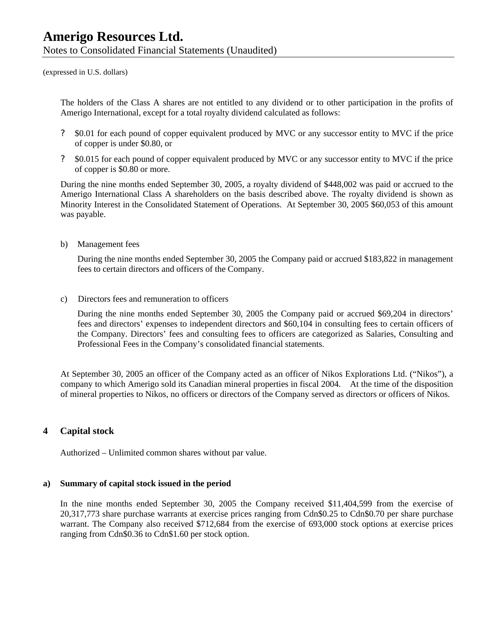(expressed in U.S. dollars)

The holders of the Class A shares are not entitled to any dividend or to other participation in the profits of Amerigo International, except for a total royalty dividend calculated as follows:

- ? \$0.01 for each pound of copper equivalent produced by MVC or any successor entity to MVC if the price of copper is under \$0.80, or
- ? \$0.015 for each pound of copper equivalent produced by MVC or any successor entity to MVC if the price of copper is \$0.80 or more.

During the nine months ended September 30, 2005, a royalty dividend of \$448,002 was paid or accrued to the Amerigo International Class A shareholders on the basis described above. The royalty dividend is shown as Minority Interest in the Consolidated Statement of Operations. At September 30, 2005 \$60,053 of this amount was payable.

b) Management fees

During the nine months ended September 30, 2005 the Company paid or accrued \$183,822 in management fees to certain directors and officers of the Company.

c) Directors fees and remuneration to officers

During the nine months ended September 30, 2005 the Company paid or accrued \$69,204 in directors' fees and directors' expenses to independent directors and \$60,104 in consulting fees to certain officers of the Company. Directors' fees and consulting fees to officers are categorized as Salaries, Consulting and Professional Fees in the Company's consolidated financial statements.

At September 30, 2005 an officer of the Company acted as an officer of Nikos Explorations Ltd. ("Nikos"), a company to which Amerigo sold its Canadian mineral properties in fiscal 2004. At the time of the disposition of mineral properties to Nikos, no officers or directors of the Company served as directors or officers of Nikos.

#### **4 Capital stock**

Authorized – Unlimited common shares without par value.

#### **a) Summary of capital stock issued in the period**

In the nine months ended September 30, 2005 the Company received \$11,404,599 from the exercise of 20,317,773 share purchase warrants at exercise prices ranging from Cdn\$0.25 to Cdn\$0.70 per share purchase warrant. The Company also received \$712,684 from the exercise of 693,000 stock options at exercise prices ranging from Cdn\$0.36 to Cdn\$1.60 per stock option.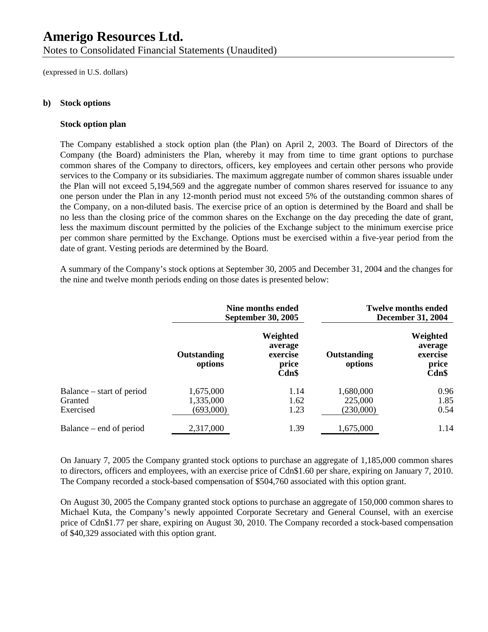Notes to Consolidated Financial Statements (Unaudited)

(expressed in U.S. dollars)

#### **b) Stock options**

#### **Stock option plan**

The Company established a stock option plan (the Plan) on April 2, 2003. The Board of Directors of the Company (the Board) administers the Plan, whereby it may from time to time grant options to purchase common shares of the Company to directors, officers, key employees and certain other persons who provide services to the Company or its subsidiaries. The maximum aggregate number of common shares issuable under the Plan will not exceed 5,194,569 and the aggregate number of common shares reserved for issuance to any one person under the Plan in any 12-month period must not exceed 5% of the outstanding common shares of the Company, on a non-diluted basis. The exercise price of an option is determined by the Board and shall be no less than the closing price of the common shares on the Exchange on the day preceding the date of grant, less the maximum discount permitted by the policies of the Exchange subject to the minimum exercise price per common share permitted by the Exchange. Options must be exercised within a five-year period from the date of grant. Vesting periods are determined by the Board.

A summary of the Company's stock options at September 30, 2005 and December 31, 2004 and the changes for the nine and twelve month periods ending on those dates is presented below:

|                           | Nine months ended<br><b>September 30, 2005</b> |                                                   | <b>Twelve months ended</b><br><b>December 31, 2004</b> |                                                   |
|---------------------------|------------------------------------------------|---------------------------------------------------|--------------------------------------------------------|---------------------------------------------------|
|                           | Outstanding<br>options                         | Weighted<br>average<br>exercise<br>price<br>Cdn\$ | Outstanding<br>options                                 | Weighted<br>average<br>exercise<br>price<br>Cdn\$ |
| Balance – start of period | 1,675,000                                      | 1.14                                              | 1,680,000                                              | 0.96                                              |
| Granted                   | 1,335,000                                      | 1.62                                              | 225,000                                                | 1.85                                              |
| Exercised                 | (693,000)                                      | 1.23                                              | (230,000)                                              | 0.54                                              |
| Balance – end of period   | 2,317,000                                      | 1.39                                              | 1,675,000                                              | 1.14                                              |

On January 7, 2005 the Company granted stock options to purchase an aggregate of 1,185,000 common shares to directors, officers and employees, with an exercise price of Cdn\$1.60 per share, expiring on January 7, 2010. The Company recorded a stock-based compensation of \$504,760 associated with this option grant.

On August 30, 2005 the Company granted stock options to purchase an aggregate of 150,000 common shares to Michael Kuta, the Company's newly appointed Corporate Secretary and General Counsel, with an exercise price of Cdn\$1.77 per share, expiring on August 30, 2010. The Company recorded a stock-based compensation of \$40,329 associated with this option grant.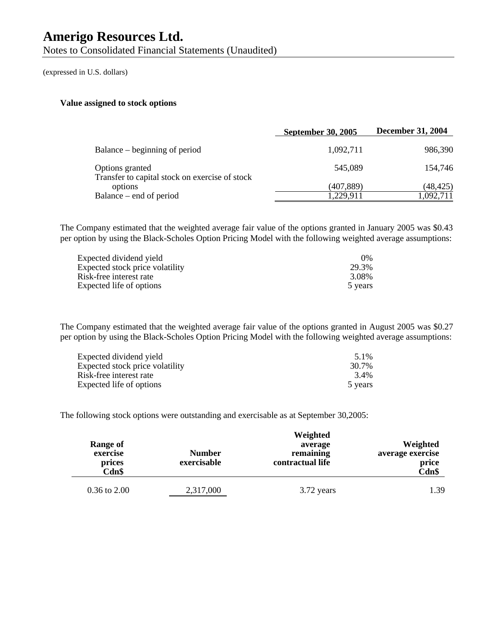Notes to Consolidated Financial Statements (Unaudited)

(expressed in U.S. dollars)

#### **Value assigned to stock options**

|                                                                   | <b>September 30, 2005</b> | <b>December 31, 2004</b> |
|-------------------------------------------------------------------|---------------------------|--------------------------|
| Balance – beginning of period                                     | 1,092,711                 | 986,390                  |
| Options granted<br>Transfer to capital stock on exercise of stock | 545,089                   | 154,746                  |
| options                                                           | (407,889)                 | (48,425)                 |
| Balance – end of period                                           | 1,229,911                 | 1,092,711                |

The Company estimated that the weighted average fair value of the options granted in January 2005 was \$0.43 per option by using the Black-Scholes Option Pricing Model with the following weighted average assumptions:

| Expected dividend yield         | $0\%$   |
|---------------------------------|---------|
| Expected stock price volatility | 29.3%   |
| Risk-free interest rate         | 3.08%   |
| Expected life of options        | 5 years |

The Company estimated that the weighted average fair value of the options granted in August 2005 was \$0.27 per option by using the Black-Scholes Option Pricing Model with the following weighted average assumptions:

| Expected dividend yield         | 5.1%    |
|---------------------------------|---------|
| Expected stock price volatility | 30.7%   |
| Risk-free interest rate         | 3.4%    |
| Expected life of options        | 5 years |

The following stock options were outstanding and exercisable as at September 30,2005:

| Range of<br>exercise<br>prices<br>Cdn\$ | <b>Number</b><br>exercisable | Weighted<br>average<br>remaining<br>contractual life | Weighted<br>average exercise<br>price<br><b>Cdn\$</b> |
|-----------------------------------------|------------------------------|------------------------------------------------------|-------------------------------------------------------|
| $0.36$ to $2.00$                        | 2,317,000                    | 3.72 years                                           | 1.39                                                  |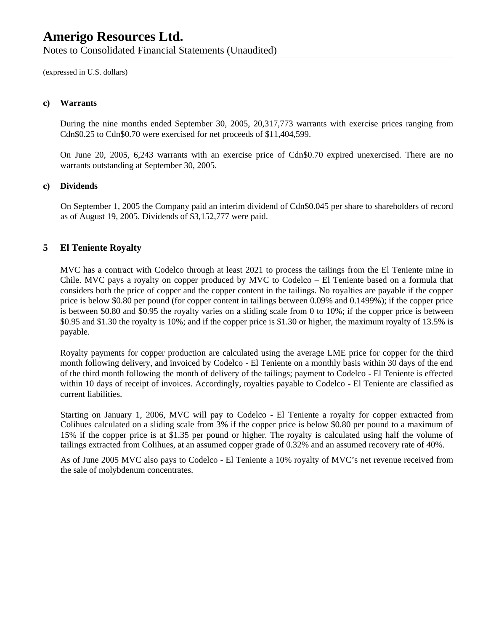Notes to Consolidated Financial Statements (Unaudited)

(expressed in U.S. dollars)

#### **c) Warrants**

During the nine months ended September 30, 2005, 20,317,773 warrants with exercise prices ranging from Cdn\$0.25 to Cdn\$0.70 were exercised for net proceeds of \$11,404,599.

On June 20, 2005, 6,243 warrants with an exercise price of Cdn\$0.70 expired unexercised. There are no warrants outstanding at September 30, 2005.

#### **c) Dividends**

On September 1, 2005 the Company paid an interim dividend of Cdn\$0.045 per share to shareholders of record as of August 19, 2005. Dividends of \$3,152,777 were paid.

#### **5 El Teniente Royalty**

MVC has a contract with Codelco through at least 2021 to process the tailings from the El Teniente mine in Chile. MVC pays a royalty on copper produced by MVC to Codelco – El Teniente based on a formula that considers both the price of copper and the copper content in the tailings. No royalties are payable if the copper price is below \$0.80 per pound (for copper content in tailings between 0.09% and 0.1499%); if the copper price is between \$0.80 and \$0.95 the royalty varies on a sliding scale from 0 to 10%; if the copper price is between \$0.95 and \$1.30 the royalty is 10%; and if the copper price is \$1.30 or higher, the maximum royalty of 13.5% is payable.

Royalty payments for copper production are calculated using the average LME price for copper for the third month following delivery, and invoiced by Codelco - El Teniente on a monthly basis within 30 days of the end of the third month following the month of delivery of the tailings; payment to Codelco - El Teniente is effected within 10 days of receipt of invoices. Accordingly, royalties payable to Codelco - El Teniente are classified as current liabilities.

Starting on January 1, 2006, MVC will pay to Codelco - El Teniente a royalty for copper extracted from Colihues calculated on a sliding scale from 3% if the copper price is below \$0.80 per pound to a maximum of 15% if the copper price is at \$1.35 per pound or higher. The royalty is calculated using half the volume of tailings extracted from Colihues, at an assumed copper grade of 0.32% and an assumed recovery rate of 40%.

As of June 2005 MVC also pays to Codelco - El Teniente a 10% royalty of MVC's net revenue received from the sale of molybdenum concentrates.